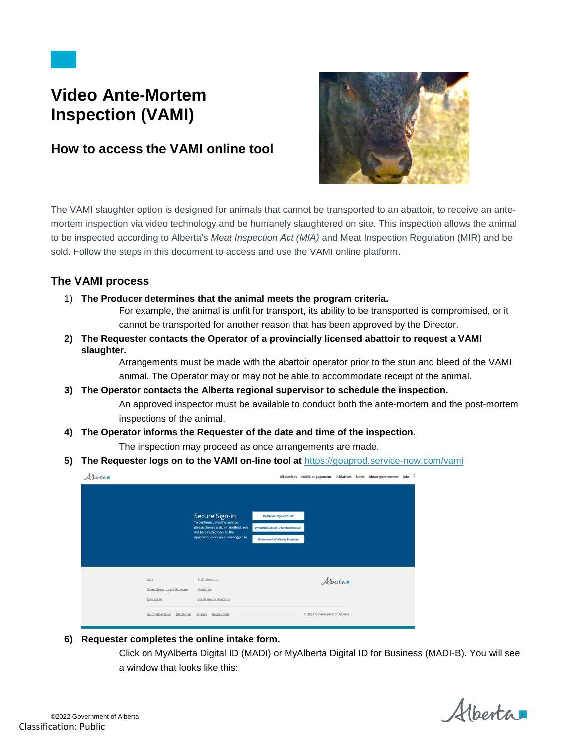# **Video Ante-Mortem Inspection (VAMI)**

## **How to access the VAMI online tool**



The VAMI slaughter option is designed for animals that cannot be transported to an abattoir, to receive an antemortem inspection via video technology and be humanely slaughtered on site. This inspection allows the animal to be inspected according to Alberta's *Meat Inspection Act (MIA)* and Meat Inspection Regulation (MIR) and be sold. Follow the steps in this document to access and use the VAMI online platform.

### **The VAMI process**

1) **The Producer determines that the animal meets the program criteria.**

For example, the animal is unfit for transport, its ability to be transported is compromised, or it cannot be transported for another reason that has been approved by the Director.

**2) The Requester contacts the Operator of a provincially licensed abattoir to request a VAMI slaughter.**

> Arrangements must be made with the abattoir operator prior to the stun and bleed of the VAMI animal. The Operator may or may not be able to accommodate receipt of the animal.

- **3) The Operator contacts the Alberta regional supervisor to schedule the inspection.**  An approved inspector must be available to conduct both the ante-mortem and the post-mortem inspections of the animal.
- **4) The Operator informs the Requester of the date and time of the inspection.**

The inspection may proceed as once arrangements are made.

**5) The Requester logs on to the VAMI on-line tool at** [https://goaprod.service-now.com/vami](https://can01.safelinks.protection.outlook.com/?url=https%3A%2F%2Fgoaprod.service-now.com%2Fvami&data=04%7C01%7CJanice.Futz%40gov.ab.ca%7C85956940a0b64dae236b08d9bb2ba827%7C2bb51c06af9b42c58bf53c3b7b10850b%7C0%7C0%7C637746618440912774%7CUnknown%7CTWFpbGZsb3d8eyJWIjoiMC4wLjAwMDAiLCJQIjoiV2luMzIiLCJBTiI6Ik1haWwiLCJXVCI6Mn0%3D%7C3000&sdata=UUBJ3fQuo5rtXtISUqdjoSc%2BRV4giomnW4lG7n36G2I%3D&reserved=0)

| Alberta                 |                                                                                                                          |                                              |         |  | All services Public engagement Initiatives News About government Jobs C |  |
|-------------------------|--------------------------------------------------------------------------------------------------------------------------|----------------------------------------------|---------|--|-------------------------------------------------------------------------|--|
|                         | Secure Sign-in<br>To continue using this service,<br>please choose a sign-in method. You<br>will be directed back to the | <b>MyAlberta Digital ID UAT</b>              |         |  |                                                                         |  |
|                         |                                                                                                                          | <b>MyAlberta Digital ID for Business UAT</b> |         |  |                                                                         |  |
|                         | application once you have logged in.                                                                                     | <b>Government of Alberta Employee</b>        |         |  |                                                                         |  |
|                         |                                                                                                                          |                                              |         |  |                                                                         |  |
| <b>Jobs</b>             | Staff directory                                                                                                          |                                              | Alberta |  |                                                                         |  |
|                         |                                                                                                                          |                                              |         |  |                                                                         |  |
| Open Government Program | Ministries                                                                                                               |                                              |         |  |                                                                         |  |
| Contact us              | Social media directory                                                                                                   |                                              |         |  |                                                                         |  |

**6) Requester completes the online intake form.**

Click on MyAlberta Digital ID (MADI) or MyAlberta Digital ID for Business (MADI-B). You will see a window that looks like this:

Albertan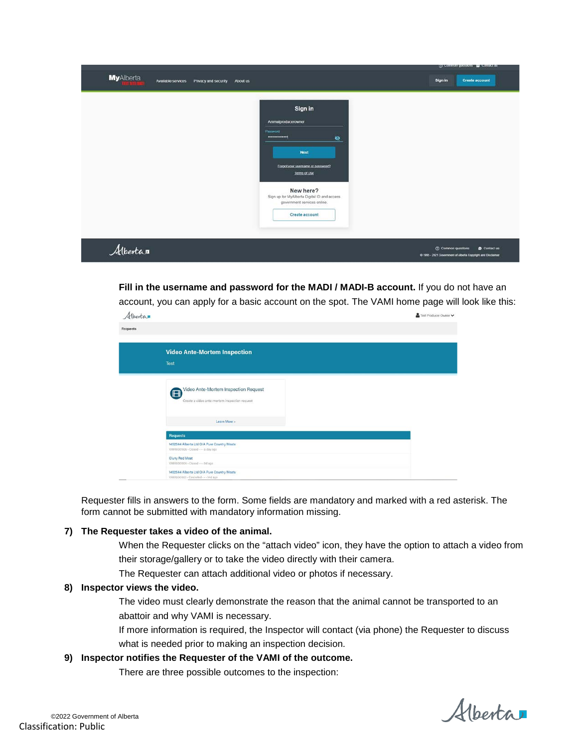|                                        |                               |                                                                                                                                                                                                                                                              | O comment disconters <b>Ba</b> country ris-                                                     |
|----------------------------------------|-------------------------------|--------------------------------------------------------------------------------------------------------------------------------------------------------------------------------------------------------------------------------------------------------------|-------------------------------------------------------------------------------------------------|
| <b>MyAlberta</b><br>Available services | Privacy and security About us |                                                                                                                                                                                                                                                              | Sign in<br><b>Create account</b>                                                                |
|                                        |                               | Sign in<br>Animalproducerowner<br>Password<br>----------------<br>$\bullet$<br><b>Next</b><br>Eorgot your username or password?<br>Terms of Use<br>New here?<br>Sign up for MyAlberta Digital ID and access<br>government services online.<br>Create account |                                                                                                 |
| Albertan                               |                               |                                                                                                                                                                                                                                                              | C Common questions<br>Contactus<br>C 1995 - 2021 Government of Alberta Copyright and Disclaimer |

**Fill in the username and password for the MADI / MADI-B account.** If you do not have an account, you can apply for a basic account on the spot. The VAMI home page will look like this:

| Albertan |                                                                                                         | Test Producer Owner V |
|----------|---------------------------------------------------------------------------------------------------------|-----------------------|
| Requests |                                                                                                         |                       |
|          | <b>Video Ante-Mortem Inspection</b>                                                                     |                       |
|          |                                                                                                         |                       |
|          | <b>Test</b>                                                                                             |                       |
|          |                                                                                                         |                       |
|          | Video Ante-Mortem Inspection Request<br><sup>(B)</sup><br>Create a video ante-mortem inspection request |                       |
|          | Learn More >                                                                                            |                       |
|          | Requests                                                                                                |                       |
|          | 1452544 Alberta Ltd O/A Pure Country Meats<br>VAMI0001026 - Closed - - - a day ago                      |                       |
|          | Cluny Red Meat<br>VAMI0001024 - Closed - - - 8d ago                                                     |                       |
|          | 1452544 Alberta Ltd O/A Pure Country Meats<br>VAMI0001021 - Cancelled - - - 14d ago                     |                       |

Requester fills in answers to the form. Some fields are mandatory and marked with a red asterisk. The form cannot be submitted with mandatory information missing.

#### **7) The Requester takes a video of the animal.**

When the Requester clicks on the "attach video" icon, they have the option to attach a video from their storage/gallery or to take the video directly with their camera.

The Requester can attach additional video or photos if necessary.

#### **8) Inspector views the video.**

The video must clearly demonstrate the reason that the animal cannot be transported to an abattoir and why VAMI is necessary.

If more information is required, the Inspector will contact (via phone) the Requester to discuss what is needed prior to making an inspection decision.

#### **9) Inspector notifies the Requester of the VAMI of the outcome.**

There are three possible outcomes to the inspection:

Alberta